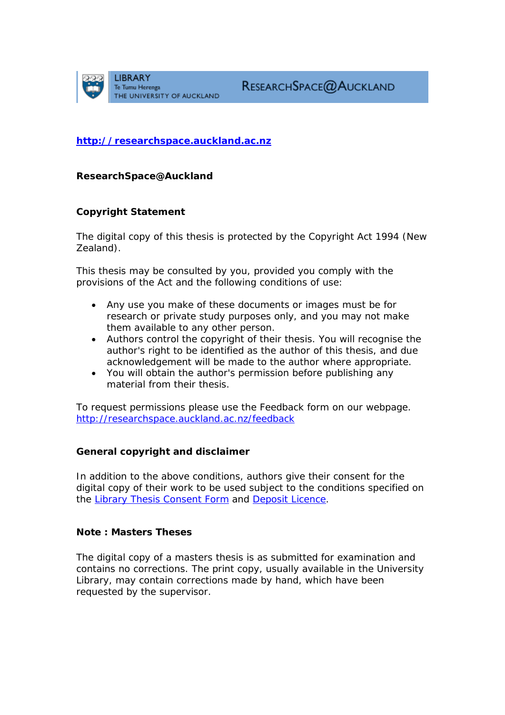

**[http://researchspace.auckland.ac.nz](http://researchspace.auckland.ac.nz/)**

*ResearchSpace@Auckland*

#### **Copyright Statement**

The digital copy of this thesis is protected by the Copyright Act 1994 (New Zealand).

This thesis may be consulted by you, provided you comply with the provisions of the Act and the following conditions of use:

- Any use you make of these documents or images must be for research or private study purposes only, and you may not make them available to any other person.
- Authors control the copyright of their thesis. You will recognise the author's right to be identified as the author of this thesis, and due acknowledgement will be made to the author where appropriate.
- You will obtain the author's permission before publishing any material from their thesis.

To request permissions please use the Feedback form on our webpage. <http://researchspace.auckland.ac.nz/feedback>

#### **General copyright and disclaimer**

In addition to the above conditions, authors give their consent for the digital copy of their work to be used subject to the conditions specified on the [Library Thesis Consent Form](http://researchspace.auckland.ac.nz/docs/uoa-docs/thesisconsent.pdf) and [Deposit Licence.](http://researchspace.auckland.ac.nz/docs/uoa-docs/depositlicence.htm)

#### **Note : Masters Theses**

The digital copy of a masters thesis is as submitted for examination and contains no corrections. The print copy, usually available in the University Library, may contain corrections made by hand, which have been requested by the supervisor.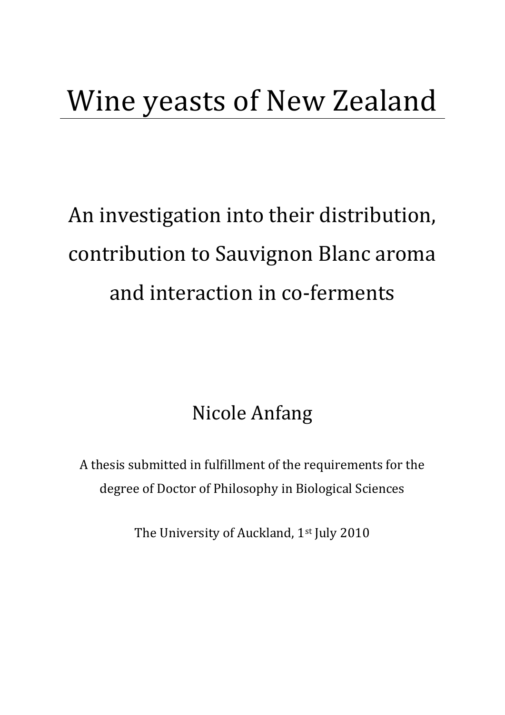# Wine yeasts of New Zealand

# An investigation into their distribution, contribution to Sauvignon Blanc aroma and interaction in co-ferments

### Nicole Anfang

A thesis submitted in fulfillment of the requirements for the degree of Doctor of Philosophy in Biological Sciences

The University of Auckland, 1<sup>st</sup> July 2010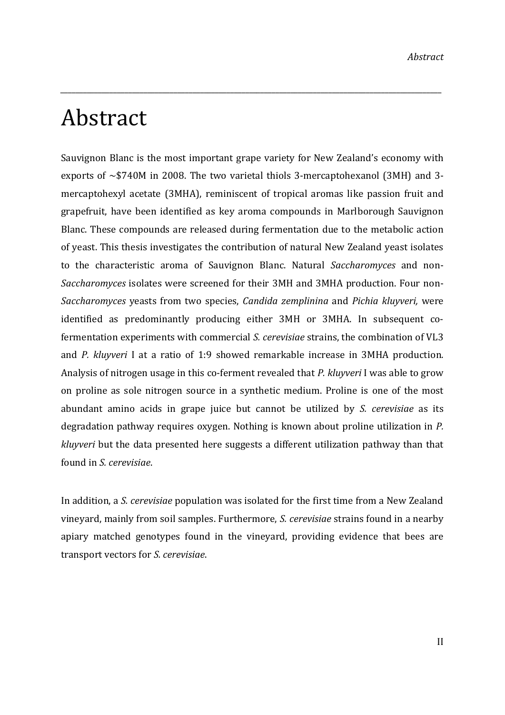### Abstract

Sauvignon Blanc is the most important grape variety for New Zealand's economy with exports of  $\sim$ \$740M in 2008. The two varietal thiols 3-mercaptohexanol (3MH) and 3mercaptohexyl acetate (3MHA), reminiscent of tropical aromas like passion fruit and grapefruit, have been identified as key aroma compounds in Marlborough Sauvignon Blanc. These compounds are released during fermentation due to the metabolic action of yeast. This thesis investigates the contribution of natural New Zealand yeast isolates to the characteristic aroma of Sauvignon Blanc. Natural *Saccharomyces* and non‐ *Saccharomyces* isolates were screened for their 3MH and 3MHA production. Four non‐ *Saccharomyces* yeasts from two species, *Candida zemplinina* and *Pichia kluyveri,* were identified as predominantly producing either 3MH or 3MHA. In subsequent cofermentation experiments with commercial *S. cerevisiae* strains, the combination of VL3 and *P. kluyveri* I at a ratio of 1:9 showed remarkable increase in 3MHA production. Analysis of nitrogen usage in this co‐ferment revealed that *P. kluyveri* I was able to grow on proline as sole nitrogen source in a synthetic medium. Proline is one of the most abundant amino acids in grape juice but cannot be utilized by *S. cerevisiae* as its degradation pathway requires oxygen. Nothing is known about proline utilization in *P. kluyveri* but the data presented here suggests a different utilization pathway than that found in *S. cerevisiae*.

*\_\_\_\_\_\_\_\_\_\_\_\_\_\_\_\_\_\_\_\_\_\_\_\_\_\_\_\_\_\_\_\_\_\_\_\_\_\_\_\_\_\_\_\_\_\_\_\_\_\_\_\_\_\_\_\_\_\_\_\_\_\_\_\_\_\_\_\_\_\_\_\_\_\_\_\_\_\_\_\_\_\_\_\_\_\_\_\_\_\_\_\_\_\_\_\_\_\_\_\_\_*

In addition, a *S. cerevisiae* population was isolated for the first time from a New Zealand vineyard, mainly from soil samples. Furthermore, *S. cerevisiae* strains found in a nearby apiary matched genotypes found in the vineyard, providing evidence that bees are transport vectors for *S. cerevisiae*.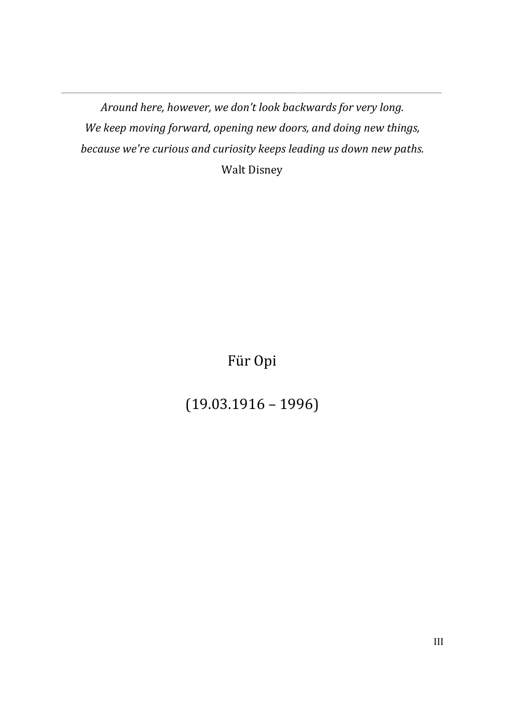*Around here, however, we don't look backwards for very long. We keep moving forward, opening new doors, and doing new things, because we're curious and curiosity keeps leading us down new paths.* Walt Disney

\_\_\_\_\_\_\_\_\_\_\_\_\_\_\_\_\_\_\_\_\_\_\_\_\_\_\_\_\_\_\_\_\_\_\_\_\_\_\_\_\_\_\_\_\_\_\_\_\_\_\_\_\_\_\_\_\_\_\_\_\_\_\_\_\_\_\_\_\_\_\_\_\_\_\_\_\_\_\_\_\_\_\_\_\_\_\_\_\_\_\_\_\_\_\_\_\_\_\_\_\_

Für Opi

(19.03.1916 – 1996)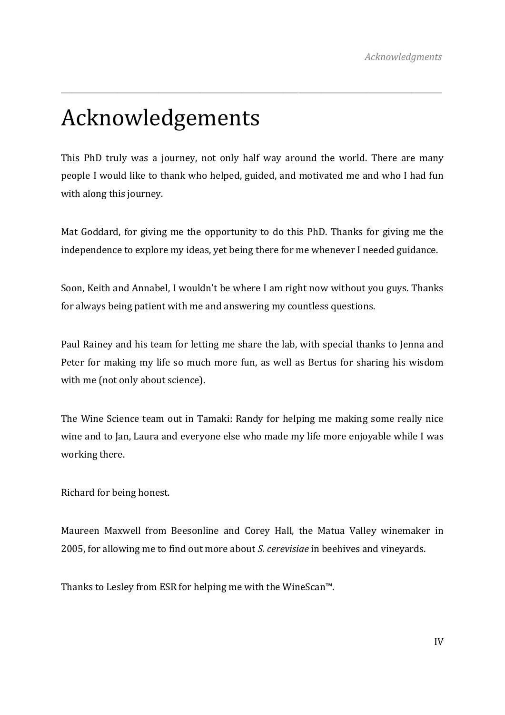# Acknowledgements

This PhD truly was a journey, not only half way around the world. There are many people I would like to thank who helped, guided, and motivated me and who I had fun with along this journey.

\_\_\_\_\_\_\_\_\_\_\_\_\_\_\_\_\_\_\_\_\_\_\_\_\_\_\_\_\_\_\_\_\_\_\_\_\_\_\_\_\_\_\_\_\_\_\_\_\_\_\_\_\_\_\_\_\_\_\_\_\_\_\_\_\_\_\_\_\_\_\_\_\_\_\_\_\_\_\_\_\_\_\_\_\_\_\_\_\_\_\_\_\_\_\_\_\_\_\_\_\_

Mat Goddard, for giving me the opportunity to do this PhD. Thanks for giving me the independence to explore my ideas, yet being there for me whenever I needed guidance.

Soon, Keith and Annabel, I wouldn't be where I am right now without you guys. Thanks for always being patient with me and answering my countless questions.

Paul Rainey and his team for letting me share the lab, with special thanks to Jenna and Peter for making my life so much more fun, as well as Bertus for sharing his wisdom with me (not only about science).

The Wine Science team out in Tamaki: Randy for helping me making some really nice wine and to Jan, Laura and everyone else who made my life more enjoyable while I was working there.

Richard for being honest.

Maureen Maxwell from Beesonline and Corey Hall, the Matua Valley winemaker in 2005, for allowing me to find out more about *S. cerevisiae* in beehives and vineyards.

Thanks to Lesley from ESR for helping me with the WineScan™.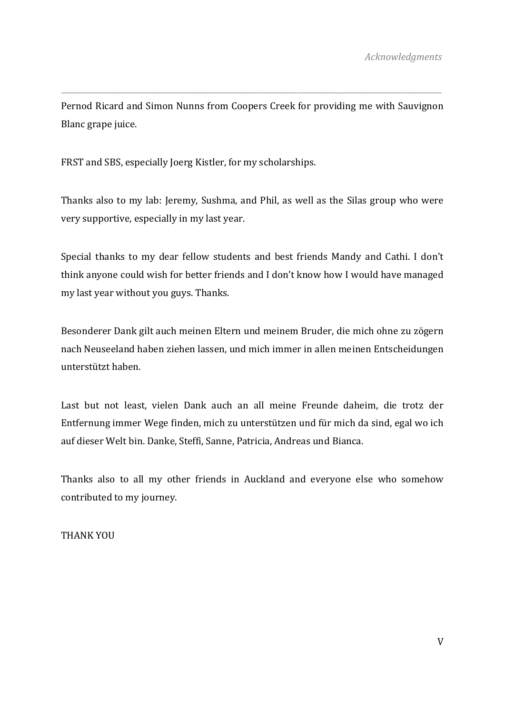Pernod Ricard and Simon Nunns from Coopers Creek for providing me with Sauvignon Blanc grape juice.

\_\_\_\_\_\_\_\_\_\_\_\_\_\_\_\_\_\_\_\_\_\_\_\_\_\_\_\_\_\_\_\_\_\_\_\_\_\_\_\_\_\_\_\_\_\_\_\_\_\_\_\_\_\_\_\_\_\_\_\_\_\_\_\_\_\_\_\_\_\_\_\_\_\_\_\_\_\_\_\_\_\_\_\_\_\_\_\_\_\_\_\_\_\_\_\_\_\_\_\_\_

FRST and SBS, especially Joerg Kistler, for my scholarships.

Thanks also to my lab: Jeremy, Sushma, and Phil, as well as the Silas group who were very supportive, especially in my last year.

Special thanks to my dear fellow students and best friends Mandy and Cathi. I don't think anyone could wish for better friends and I don't know how I would have managed my last year without you guys. Thanks.

Besonderer Dank gilt auch meinen Eltern und meinem Bruder, die mich ohne zu zögern nach Neuseeland haben ziehen lassen, und mich immer in allen meinen Entscheidungen unterstützt haben.

Last but not least, vielen Dank auch an all meine Freunde daheim, die trotz der Entfernung immer Wege finden, mich zu unterstützen und für mich da sind, egal wo ich auf dieser Welt bin. Danke, Steffi, Sanne, Patricia, Andreas und Bianca.

Thanks also to all my other friends in Auckland and everyone else who somehow contributed to my journey.

THANK YOU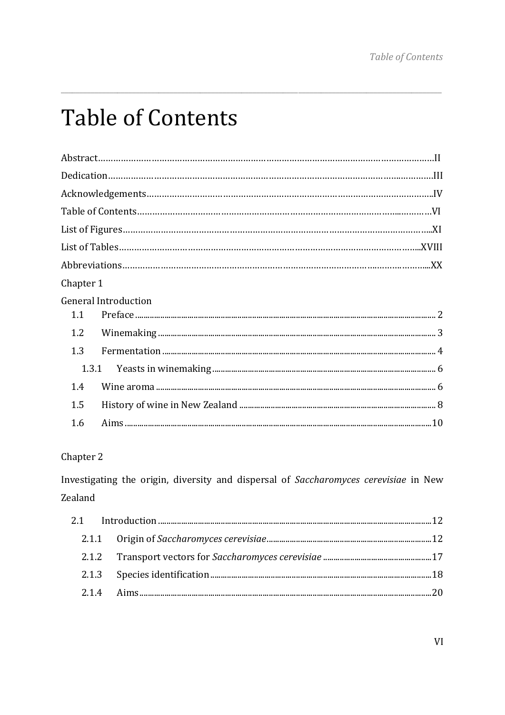# **Table of Contents**

| Chapter 1 |                             |
|-----------|-----------------------------|
|           | <b>General Introduction</b> |
| 1.1       |                             |
| 1.2       |                             |
| 1.3       |                             |
| 1.3.1     |                             |
| 14        |                             |
| 1.5       |                             |
| 1.6       |                             |
|           |                             |

#### Chapter 2

Investigating the origin, diversity and dispersal of Saccharomyces cerevisiae in New Zealand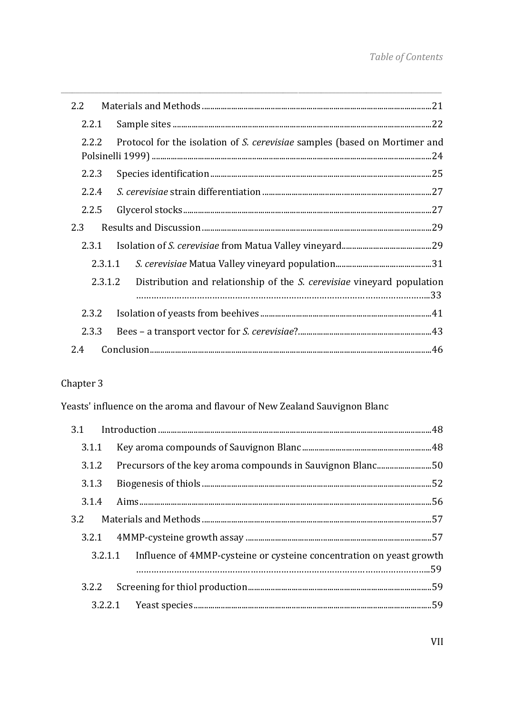| 2.2     |                                                                                       |
|---------|---------------------------------------------------------------------------------------|
| 2.2.1   |                                                                                       |
| 2.2.2   | Protocol for the isolation of S. cerevisiae samples (based on Mortimer and            |
| 2.2.3   |                                                                                       |
| 2.2.4   |                                                                                       |
| 2.2.5   |                                                                                       |
| 2.3     |                                                                                       |
|         |                                                                                       |
| 2.3.1.1 |                                                                                       |
|         | 2.3.1.2 Distribution and relationship of the <i>S. cerevisiae</i> vineyard population |
| 2.3.2   |                                                                                       |
| 2.3.3   |                                                                                       |
| 2.4     |                                                                                       |

#### Chapter 3

Yeasts' influence on the aroma and flavour of New Zealand Sauvignon Blanc

|  | 3.1.2 Precursors of the key aroma compounds in Sauvignon Blanc50             |  |
|--|------------------------------------------------------------------------------|--|
|  |                                                                              |  |
|  |                                                                              |  |
|  |                                                                              |  |
|  |                                                                              |  |
|  | 3.2.1.1 Influence of 4MMP-cysteine or cysteine concentration on yeast growth |  |
|  |                                                                              |  |
|  |                                                                              |  |
|  |                                                                              |  |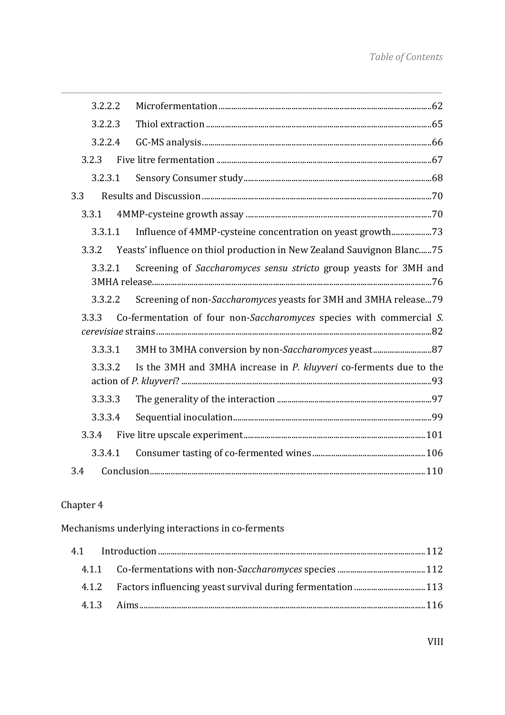| 3.2.2.2 |                                                                        |
|---------|------------------------------------------------------------------------|
| 3.2.2.3 |                                                                        |
| 3.2.2.4 |                                                                        |
| 3.2.3   |                                                                        |
| 3.2.3.1 |                                                                        |
| 3.3     |                                                                        |
| 3.3.1   |                                                                        |
| 3.3.1.1 |                                                                        |
| 3.3.2   | Yeasts' influence on thiol production in New Zealand Sauvignon Blanc75 |
| 3.3.2.1 | Screening of Saccharomyces sensu stricto group yeasts for 3MH and      |
| 3.3.2.2 | Screening of non-Saccharomyces yeasts for 3MH and 3MHA release 79      |
| 3.3.3   | Co-fermentation of four non-Saccharomyces species with commercial S.   |
| 3.3.3.1 | 3MH to 3MHA conversion by non-Saccharomyces yeast 87                   |
| 3.3.3.2 | Is the 3MH and 3MHA increase in P. kluyveri co-ferments due to the     |
| 3.3.3.3 |                                                                        |
| 3.3.3.4 |                                                                        |
| 3.3.4   |                                                                        |
| 3.3.4.1 |                                                                        |
| 3.4     |                                                                        |
|         |                                                                        |

#### Chapter 4

Mechanisms underlying interactions in co-ferments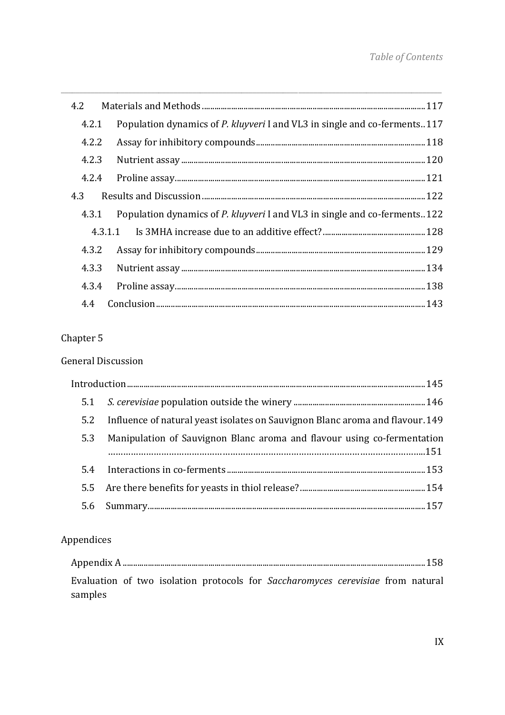| 4.2.1 | Population dynamics of P. kluyveri I and VL3 in single and co-ferments. 117 |
|-------|-----------------------------------------------------------------------------|
| 4.2.2 |                                                                             |
| 4.2.3 |                                                                             |
| 4.2.4 |                                                                             |
| 4.3   |                                                                             |
| 4.3.1 | Population dynamics of P. kluyveri I and VL3 in single and co-ferments122   |
|       |                                                                             |
|       |                                                                             |
|       |                                                                             |
| 4.3.4 |                                                                             |
| 4.4   |                                                                             |

#### Chapter 5

#### **General Discussion**

| 5.2 | Influence of natural yeast isolates on Sauvignon Blanc aroma and flavour.149 |
|-----|------------------------------------------------------------------------------|
| 5.3 | Manipulation of Sauvignon Blanc aroma and flavour using co-fermentation      |
|     |                                                                              |
|     |                                                                              |
|     |                                                                              |
|     |                                                                              |
|     |                                                                              |

#### Appendices

| samples |  |  | Evaluation of two isolation protocols for Saccharomyces cerevisiae from natural |  |  |
|---------|--|--|---------------------------------------------------------------------------------|--|--|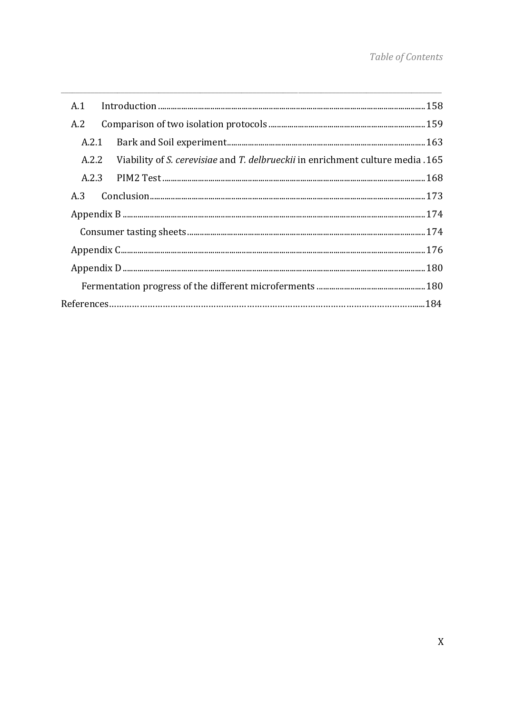| A.1   |                                                                                      |  |
|-------|--------------------------------------------------------------------------------------|--|
| A.2   |                                                                                      |  |
| A.2.1 |                                                                                      |  |
|       | A.2.2 Viability of S. cerevisiae and T. delbrueckii in enrichment culture media .165 |  |
|       |                                                                                      |  |
| A.3   |                                                                                      |  |
|       |                                                                                      |  |
|       |                                                                                      |  |
|       |                                                                                      |  |
|       |                                                                                      |  |
|       |                                                                                      |  |
|       |                                                                                      |  |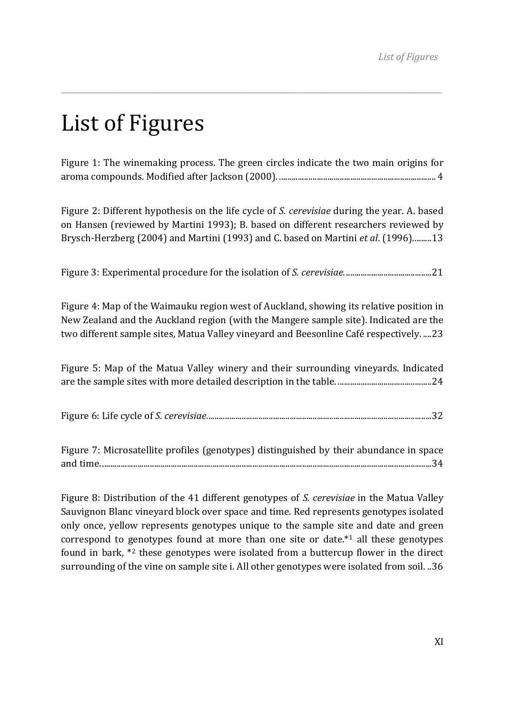## List of Figures

Figure 1: The winemaking process. The green circles indicate the two main origins for aroma compounds. Modified after Jackson (2000). ........................................................................... 4

\_\_\_\_\_\_\_\_\_\_\_\_\_\_\_\_\_\_\_\_\_\_\_\_\_\_\_\_\_\_\_\_\_\_\_\_\_\_\_\_\_\_\_\_\_\_\_\_\_\_\_\_\_\_\_\_\_\_\_\_\_\_\_\_\_\_\_\_\_\_\_\_\_\_\_\_\_\_\_\_\_\_\_\_\_\_\_\_\_\_\_\_\_\_\_\_\_\_\_\_\_

Figure 2: Different hypothesis on the life cycle of *S. cerevisiae* during the year. A. based on Hansen (reviewed by Martini 1993); B. based on different researchers reviewed by Brysch‐Herzberg (2004) and Martini (1993) and C. based on Martini *et al*. (1996). ........ 13

Figure 3: Experimental procedure for the isolation of *S. cerevisiae.* ......................................... 21

Figure 4: Map of the Waimauku region west of Auckland, showing its relative position in New Zealand and the Auckland region (with the Mangere sample site). Indicated are the two different sample sites, Matua Valley vineyard and Beesonline Café respectively. .... 23

Figure 5: Map of the Matua Valley winery and their surrounding vineyards. Indicated are the sample sites with more detailed description in the table. ............................................. 24

|--|--|

Figure 7: Microsatellite profiles (genotypes) distinguished by their abundance in space and time. .............................................................................................................................................................. 34

Figure 8: Distribution of the 41 different genotypes of *S. cerevisiae* in the Matua Valley Sauvignon Blanc vineyard block over space and time. Red represents genotypes isolated only once, yellow represents genotypes unique to the sample site and date and green correspond to genotypes found at more than one site or date. $*1$  all these genotypes found in bark, \*2 these genotypes were isolated from a buttercup flower in the direct surrounding of the vine on sample site i. All other genotypes were isolated from soil. .. 36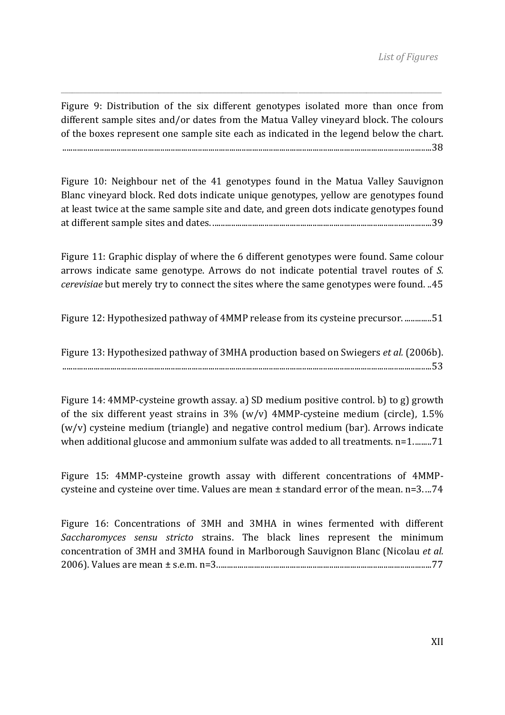Figure 9: Distribution of the six different genotypes isolated more than once from different sample sites and/or dates from the Matua Valley vineyard block. The colours of the boxes represent one sample site each as indicated in the legend below the chart. ................................................................................................................................................................................. 38

\_\_\_\_\_\_\_\_\_\_\_\_\_\_\_\_\_\_\_\_\_\_\_\_\_\_\_\_\_\_\_\_\_\_\_\_\_\_\_\_\_\_\_\_\_\_\_\_\_\_\_\_\_\_\_\_\_\_\_\_\_\_\_\_\_\_\_\_\_\_\_\_\_\_\_\_\_\_\_\_\_\_\_\_\_\_\_\_\_\_\_\_\_\_\_\_\_\_\_\_\_

Figure 10: Neighbour net of the 41 genotypes found in the Matua Valley Sauvignon Blanc vineyard block. Red dots indicate unique genotypes, yellow are genotypes found at least twice at the same sample site and date, and green dots indicate genotypes found at different sample sites and dates. ......................................................................................................... 39

Figure 11: Graphic display of where the 6 different genotypes were found. Same colour arrows indicate same genotype. Arrows do not indicate potential travel routes of *S. cerevisiae* but merely try to connect the sites where the same genotypes were found. .. 45

Figure 12: Hypothesized pathway of 4MMP release from its cysteine precursor. ............. 51

Figure 13: Hypothesized pathway of 3MHA production based on Swiegers *et al.* (2006b). ................................................................................................................................................................................. 53

Figure 14: 4MMP‐cysteine growth assay. a) SD medium positive control. b) to g) growth of the six different veast strains in  $3\%$  (w/v)  $4MMP$ -cysteine medium (circle),  $1.5\%$ (w/v) cysteine medium (triangle) and negative control medium (bar). Arrows indicate when additional glucose and ammonium sulfate was added to all treatments. n=1......... 71

Figure 15: 4MMP‐cysteine growth assay with different concentrations of 4MMP‐ cysteine and cysteine over time. Values are mean ± standard error of the mean. n=3. ... 74

Figure 16: Concentrations of 3MH and 3MHA in wines fermented with different *Saccharomyces sensu stricto* strains. The black lines represent the minimum concentration of 3MH and 3MHA found in Marlborough Sauvignon Blanc (Nicolau *et al.* 2006). Values are mean ± s.e.m. n=3. ...................................................................................................... 77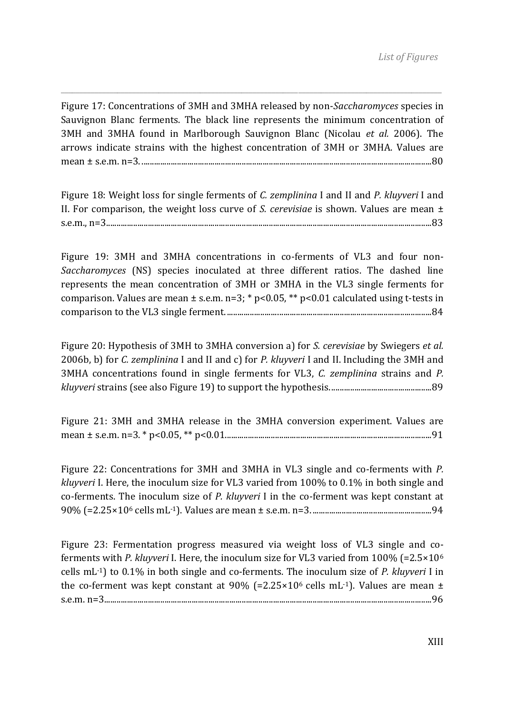Figure 17: Concentrations of 3MH and 3MHA released by non‐*Saccharomyces* species in Sauvignon Blanc ferments. The black line represents the minimum concentration of 3MH and 3MHA found in Marlborough Sauvignon Blanc (Nicolau *et al.* 2006). The arrows indicate strains with the highest concentration of 3MH or 3MHA. Values are mean ± s.e.m. n=3. ........................................................................................................................................... 80

\_\_\_\_\_\_\_\_\_\_\_\_\_\_\_\_\_\_\_\_\_\_\_\_\_\_\_\_\_\_\_\_\_\_\_\_\_\_\_\_\_\_\_\_\_\_\_\_\_\_\_\_\_\_\_\_\_\_\_\_\_\_\_\_\_\_\_\_\_\_\_\_\_\_\_\_\_\_\_\_\_\_\_\_\_\_\_\_\_\_\_\_\_\_\_\_\_\_\_\_\_

Figure 18: Weight loss for single ferments of *C. zemplinina* I and II and *P. kluyveri* I and II. For comparison, the weight loss curve of *S. cerevisiae* is shown. Values are mean ± s.e.m., n=3............................................................................................................................................................ 83

Figure 19: 3MH and 3MHA concentrations in co-ferments of VL3 and four non-*Saccharomyces* (NS) species inoculated at three different ratios. The dashed line represents the mean concentration of 3MH or 3MHA in the VL3 single ferments for comparison. Values are mean  $\pm$  s.e.m. n=3; \* p<0.05, \*\* p<0.01 calculated using t-tests in comparison to the VL3 single ferment. .................................................................................................. 84

Figure 20: Hypothesis of 3MH to 3MHA conversion a) for *S. cerevisiae* by Swiegers *et al.* 2006b, b) for *C. zemplinina* I and II and c) for *P. kluyveri* I and II. Including the 3MH and 3MHA concentrations found in single ferments for VL3, *C. zemplinina* strains and *P. kluyveri* strains (see also Figure 19) to support the hypothesis. ................................................ 89

Figure 21: 3MH and 3MHA release in the 3MHA conversion experiment. Values are mean ± s.e.m. n=3. \* p<0.05, \*\* p<0.01................................................................................................... 91

Figure 22: Concentrations for 3MH and 3MHA in VL3 single and co-ferments with P. *kluyveri* I. Here, the inoculum size for VL3 varied from 100% to 0.1% in both single and co‐ferments. The inoculum size of *P. kluyveri* I in the co‐ferment was kept constant at 90% (=2.25×106 cells mL‐1). Values are mean ± s.e.m. n=3. ......................................................... 94

Figure 23: Fermentation progress measured via weight loss of VL3 single and coferments with *P. kluyveri* I. Here, the inoculum size for VL3 varied from 100% (=2.5×106 cells mL‐1) to 0.1% in both single and co‐ferments. The inoculum size of *P. kluyveri* I in the co-ferment was kept constant at  $90\%$  (=2.25×10<sup>6</sup> cells mL<sup>-1</sup>). Values are mean  $\pm$ s.e.m. n=3............................................................................................................................................................. 96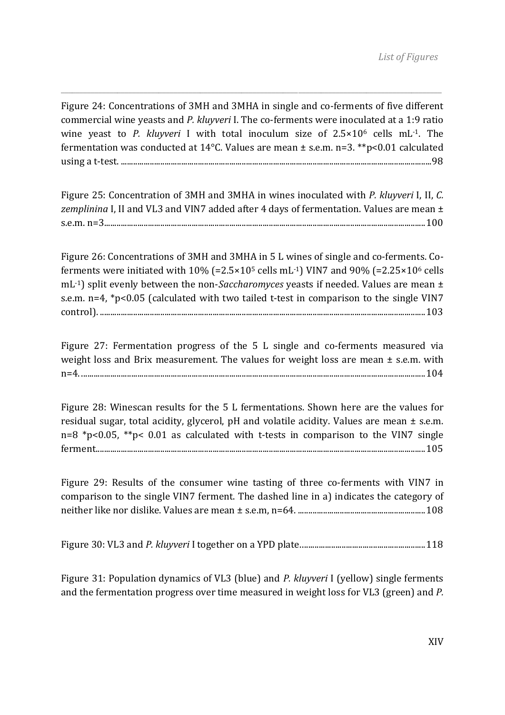Figure 24: Concentrations of 3MH and 3MHA in single and co-ferments of five different commercial wine yeasts and *P. kluyveri* I. The co‐ferments were inoculated at a 1:9 ratio wine yeast to *P. kluyveri* I with total inoculum size of  $2.5 \times 10^6$  cells mL<sup>-1</sup>. The fermentation was conducted at 14°C. Values are mean ± s.e.m. n=3. \*\*p<0.01 calculated using a t‐test. ..................................................................................................................................................... 98

\_\_\_\_\_\_\_\_\_\_\_\_\_\_\_\_\_\_\_\_\_\_\_\_\_\_\_\_\_\_\_\_\_\_\_\_\_\_\_\_\_\_\_\_\_\_\_\_\_\_\_\_\_\_\_\_\_\_\_\_\_\_\_\_\_\_\_\_\_\_\_\_\_\_\_\_\_\_\_\_\_\_\_\_\_\_\_\_\_\_\_\_\_\_\_\_\_\_\_\_\_

Figure 25: Concentration of 3MH and 3MHA in wines inoculated with *P. kluyveri* I, II, *C. zemplinina* I, II and VL3 and VIN7 added after 4 days of fermentation. Values are mean ± s.e.m. n=3.......................................................................................................................................................... 100

Figure 26: Concentrations of 3MH and 3MHA in 5 L wines of single and co-ferments. Coferments were initiated with  $10\%$  (=2.5×10<sup>5</sup> cells mL<sup>-1</sup>) VIN7 and 90% (=2.25×10<sup>6</sup> cells mL‐1) split evenly between the non‐*Saccharomyces* yeasts if needed. Values are mean ± s.e.m. n=4, \*p<0.05 (calculated with two tailed t-test in comparison to the single VIN7 control). ............................................................................................................................................................ 103

Figure 27: Fermentation progress of the 5 L single and co-ferments measured via weight loss and Brix measurement. The values for weight loss are mean  $\pm$  s.e.m. with n=4. ..................................................................................................................................................................... 104

Figure 28: Winescan results for the 5 L fermentations. Shown here are the values for residual sugar, total acidity, glycerol,  $pH$  and volatile acidity. Values are mean  $\pm$  s.e.m. n=8  $*p$ <0.05,  $*p$ < 0.01 as calculated with t-tests in comparison to the VIN7 single ferment. ............................................................................................................................................................. 105

Figure 29: Results of the consumer wine tasting of three co-ferments with VIN7 in comparison to the single VIN7 ferment. The dashed line in a) indicates the category of neither like nor dislike. Values are mean ± s.e.m, n=64. ............................................................. 108

Figure 30: VL3 and *P. kluyveri* I together on a YPD plate. ........................................................... 118

Figure 31: Population dynamics of VL3 (blue) and *P. kluyveri* I (yellow) single ferments and the fermentation progress over time measured in weight loss for VL3 (green) and *P.*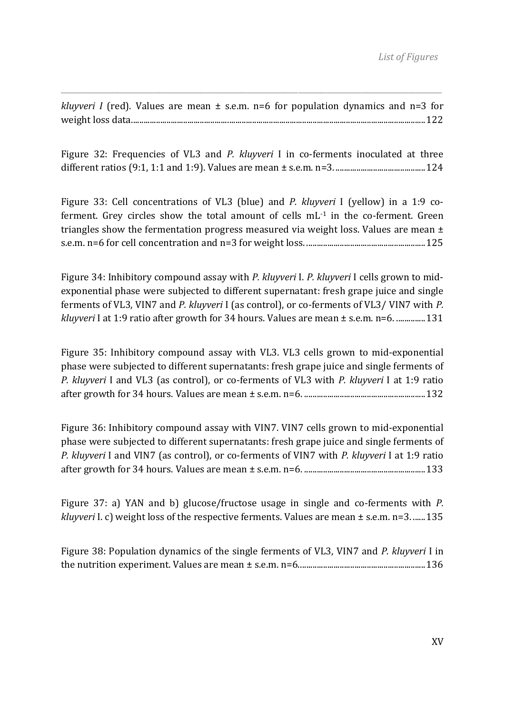*kluyveri I* (red). Values are mean  $\pm$  s.e.m. n=6 for population dynamics and n=3 for weight loss data. ............................................................................................................................................ 122

\_\_\_\_\_\_\_\_\_\_\_\_\_\_\_\_\_\_\_\_\_\_\_\_\_\_\_\_\_\_\_\_\_\_\_\_\_\_\_\_\_\_\_\_\_\_\_\_\_\_\_\_\_\_\_\_\_\_\_\_\_\_\_\_\_\_\_\_\_\_\_\_\_\_\_\_\_\_\_\_\_\_\_\_\_\_\_\_\_\_\_\_\_\_\_\_\_\_\_\_\_

Figure 32: Frequencies of VL3 and *P. kluvveri* I in co-ferments inoculated at three different ratios (9:1, 1:1 and 1:9). Values are mean ± s.e.m. n=3. ........................................... 124

Figure 33: Cell concentrations of VL3 (blue) and *P. kluyveri* I (yellow) in a 1:9 co‐ ferment. Grey circles show the total amount of cells  $mL^{-1}$  in the co-ferment. Green triangles show the fermentation progress measured via weight loss. Values are mean  $\pm$ s.e.m. n=6 for cell concentration and n=3 for weight loss. ......................................................... 125

Figure 34: Inhibitory compound assay with *P. kluyveri* I. *P. kluyveri* I cells grown to mid‐ exponential phase were subjected to different supernatant: fresh grape juice and single ferments of VL3, VIN7 and *P. kluyveri* I (as control), or co‐ferments of VL3/ VIN7 with *P. kluyveri* I at 1:9 ratio after growth for 34 hours. Values are mean ± s.e.m. n=6. .............. 131

Figure 35: Inhibitory compound assay with VL3. VL3 cells grown to mid-exponential phase were subjected to different supernatants: fresh grape juice and single ferments of *P. kluyveri* I and VL3 (as control), or co‐ferments of VL3 with *P. kluyveri* I at 1:9 ratio after growth for 34 hours. Values are mean ± s.e.m. n=6. .......................................................... 132

Figure 36: Inhibitory compound assay with VIN7. VIN7 cells grown to mid‐exponential phase were subjected to different supernatants: fresh grape juice and single ferments of *P. kluyveri* I and VIN7 (as control), or co‐ferments of VIN7 with *P. kluyveri* I at 1:9 ratio after growth for 34 hours. Values are mean ± s.e.m. n=6. .......................................................... 133

Figure 37: a) YAN and b) glucose/fructose usage in single and co-ferments with *P*. *kluyveri* I. c) weight loss of the respective ferments. Values are mean ± s.e.m. n=3. ...... 135

Figure 38: Population dynamics of the single ferments of VL3, VIN7 and *P. kluyveri* I in the nutrition experiment. Values are mean ± s.e.m. n=6. ............................................................ 136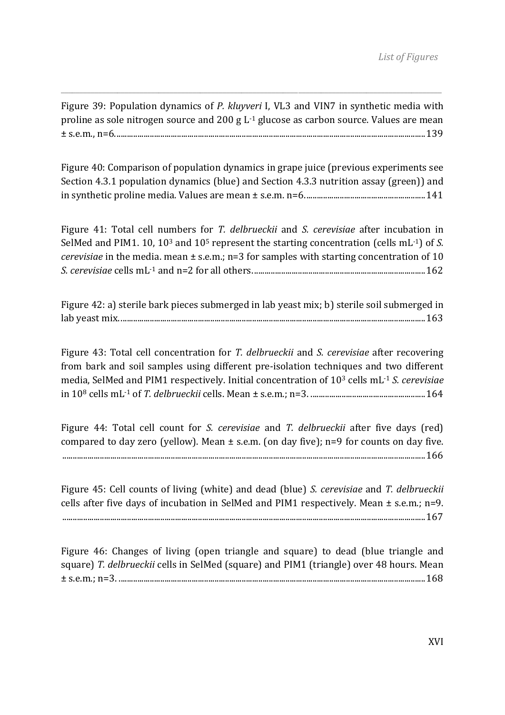Figure 39: Population dynamics of *P. kluyveri* I, VL3 and VIN7 in synthetic media with proline as sole nitrogen source and 200 g L<sup>-1</sup> glucose as carbon source. Values are mean ± s.e.m., n=6. .................................................................................................................................................... 139

\_\_\_\_\_\_\_\_\_\_\_\_\_\_\_\_\_\_\_\_\_\_\_\_\_\_\_\_\_\_\_\_\_\_\_\_\_\_\_\_\_\_\_\_\_\_\_\_\_\_\_\_\_\_\_\_\_\_\_\_\_\_\_\_\_\_\_\_\_\_\_\_\_\_\_\_\_\_\_\_\_\_\_\_\_\_\_\_\_\_\_\_\_\_\_\_\_\_\_\_\_

Figure 40: Comparison of population dynamics in grape juice (previous experiments see Section 4.3.1 population dynamics (blue) and Section 4.3.3 nutrition assay (green)) and in synthetic proline media. Values are mean ± s.e.m. n=6. ......................................................... 141

Figure 41: Total cell numbers for *T. delbrueckii* and *S. cerevisiae* after incubation in SelMed and PIM1. 10, 103 and 105 represent the starting concentration (cells mL‐1) of *S. cerevisiae* in the media. mean ± s.e.m.; n=3 for samples with starting concentration of 10 *S. cerevisiae* cells mL‐1 and n=2 for all others. .................................................................................. 162

Figure 42: a) sterile bark pieces submerged in lab yeast mix; b) sterile soil submerged in lab yeast mix. .................................................................................................................................................. 163

Figure 43: Total cell concentration for *T. delbrueckii* and *S. cerevisiae* after recovering from bark and soil samples using different pre-isolation techniques and two different media, SelMed and PIM1 respectively. Initial concentration of 103 cells mL‐1 *S. cerevisiae* in 108 cells mL‐1 of *T. delbrueckii* cells. Mean ± s.e.m.; n=3. ....................................................... 164

Figure 44: Total cell count for *S. cerevisiae* and *T. delbrueckii* after five days (red) compared to day zero (yellow). Mean  $\pm$  s.e.m. (on day five); n=9 for counts on day five. .............................................................................................................................................................................. 166

Figure 45: Cell counts of living (white) and dead (blue) *S. cerevisiae* and *T. delbrueckii* cells after five days of incubation in SelMed and PIM1 respectively. Mean ± s.e.m.; n=9. .............................................................................................................................................................................. 167

Figure 46: Changes of living (open triangle and square) to dead (blue triangle and square) *T. delbrueckii* cells in SelMed (square) and PIM1 (triangle) over 48 hours. Mean ± s.e.m.; n=3. ................................................................................................................................................... 168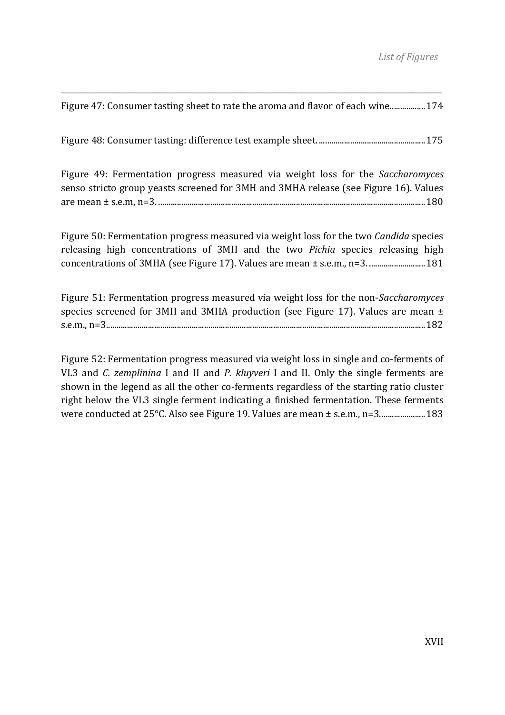\_\_\_\_\_\_\_\_\_\_\_\_\_\_\_\_\_\_\_\_\_\_\_\_\_\_\_\_\_\_\_\_\_\_\_\_\_\_\_\_\_\_\_\_\_\_\_\_\_\_\_\_\_\_\_\_\_\_\_\_\_\_\_\_\_\_\_\_\_\_\_\_\_\_\_\_\_\_\_\_\_\_\_\_\_\_\_\_\_\_\_\_\_\_\_\_\_\_\_\_\_ Figure 47: Consumer tasting sheet to rate the aroma and flavor of each wine................. 174

Figure 48: Consumer tasting: difference test example sheet. ................................................... 175

Figure 49: Fermentation progress measured via weight loss for the *Saccharomyces* senso stricto group yeasts screened for 3MH and 3MHA release (see Figure 16). Values are mean ± s.e.m, n=3. ................................................................................................................................ 180

Figure 50: Fermentation progress measured via weight loss for the two *Candida* species releasing high concentrations of 3MH and the two *Pichia* species releasing high concentrations of 3MHA (see Figure 17). Values are mean ± s.e.m., n=3. ........................... 181

Figure 51: Fermentation progress measured via weight loss for the non‐*Saccharomyces* species screened for  $3MH$  and  $3MHA$  production (see Figure 17). Values are mean  $\pm$ s.e.m., n=3......................................................................................................................................................... 182

Figure 52: Fermentation progress measured via weight loss in single and co-ferments of VL3 and *C. zemplinina* I and II and *P. kluyveri* I and II. Only the single ferments are shown in the legend as all the other co-ferments regardless of the starting ratio cluster right below the VL3 single ferment indicating a finished fermentation. These ferments were conducted at 25°C. Also see Figure 19. Values are mean ± s.e.m., n=3....................... 183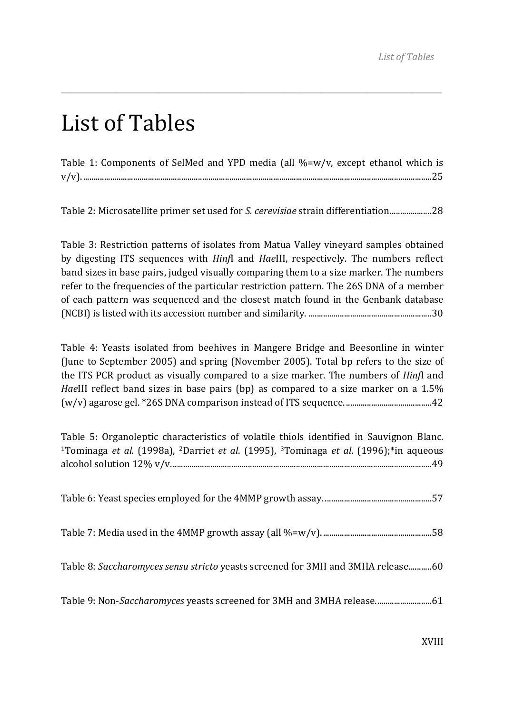### List of Tables

| Table 1: Components of SelMed and YPD media (all %=w/v, except ethanol which is |  |  |  |  |
|---------------------------------------------------------------------------------|--|--|--|--|
|                                                                                 |  |  |  |  |

\_\_\_\_\_\_\_\_\_\_\_\_\_\_\_\_\_\_\_\_\_\_\_\_\_\_\_\_\_\_\_\_\_\_\_\_\_\_\_\_\_\_\_\_\_\_\_\_\_\_\_\_\_\_\_\_\_\_\_\_\_\_\_\_\_\_\_\_\_\_\_\_\_\_\_\_\_\_\_\_\_\_\_\_\_\_\_\_\_\_\_\_\_\_\_\_\_\_\_\_\_

Table 2: Microsatellite primer set used for *S. cerevisiae* strain differentiation. ................... 28

Table 3: Restriction patterns of isolates from Matua Valley vineyard samples obtained by digesting ITS sequences with *Hinf*I and *Hae*III, respectively. The numbers reflect band sizes in base pairs, judged visually comparing them to a size marker. The numbers refer to the frequencies of the particular restriction pattern. The 26S DNA of a member of each pattern was sequenced and the closest match found in the Genbank database (NCBI) is listed with its accession number and similarity. ........................................................... 30

Table 4: Yeasts isolated from beehives in Mangere Bridge and Beesonline in winter (June to September 2005) and spring (November 2005). Total bp refers to the size of the ITS PCR product as visually compared to a size marker. The numbers of *Hinf*I and *HaeIII* reflect band sizes in base pairs (bp) as compared to a size marker on a 1.5% (w/v) agarose gel. \*26S DNA comparison instead of ITS sequence. ......................................... 42

| Table 5: Organoleptic characteristics of volatile thiols identified in Sauvignon Blanc.<br><sup>1</sup> Tominaga et al. (1998a), <sup>2</sup> Darriet et al. (1995), <sup>3</sup> Tominaga et al. (1996);*in aqueous |
|----------------------------------------------------------------------------------------------------------------------------------------------------------------------------------------------------------------------|
|                                                                                                                                                                                                                      |
|                                                                                                                                                                                                                      |
| Table 8: Saccharomyces sensu stricto yeasts screened for 3MH and 3MHA release60                                                                                                                                      |
| Table 9: Non-Saccharomyces yeasts screened for 3MH and 3MHA release 61                                                                                                                                               |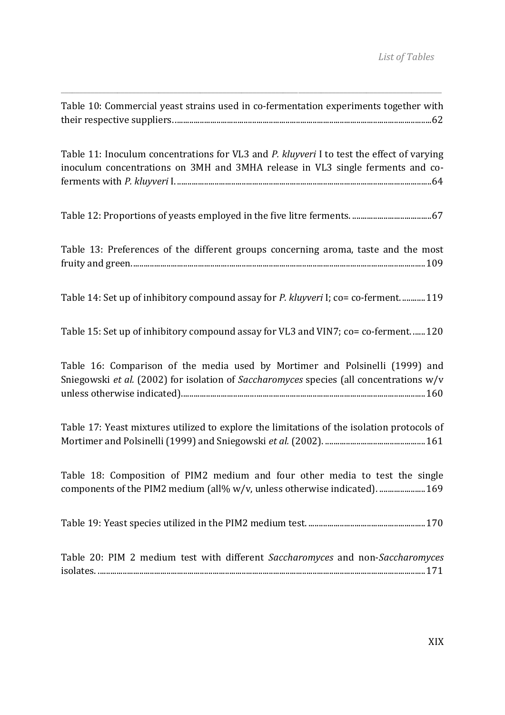| Table 10: Commercial yeast strains used in co-fermentation experiments together with                                                                                        |
|-----------------------------------------------------------------------------------------------------------------------------------------------------------------------------|
| Table 11: Inoculum concentrations for VL3 and P. kluyveri I to test the effect of varying<br>inoculum concentrations on 3MH and 3MHA release in VL3 single ferments and co- |
|                                                                                                                                                                             |
| Table 13: Preferences of the different groups concerning aroma, taste and the most                                                                                          |
| Table 14: Set up of inhibitory compound assay for P. kluyveri I; co= co-ferment 119                                                                                         |
| Table 15: Set up of inhibitory compound assay for VL3 and VIN7; co= co-ferment 120                                                                                          |
| Table 16: Comparison of the media used by Mortimer and Polsinelli (1999) and<br>Sniegowski et al. (2002) for isolation of Saccharomyces species (all concentrations w/v     |
| Table 17: Yeast mixtures utilized to explore the limitations of the isolation protocols of                                                                                  |
| Table 18: Composition of PIM2 medium and four other media to test the single<br>components of the PIM2 medium (all% w/v, unless otherwise indicated).  169                  |
|                                                                                                                                                                             |
| Table 20: PIM 2 medium test with different Saccharomyces and non-Saccharomyces                                                                                              |

\_\_\_\_\_\_\_\_\_\_\_\_\_\_\_\_\_\_\_\_\_\_\_\_\_\_\_\_\_\_\_\_\_\_\_\_\_\_\_\_\_\_\_\_\_\_\_\_\_\_\_\_\_\_\_\_\_\_\_\_\_\_\_\_\_\_\_\_\_\_\_\_\_\_\_\_\_\_\_\_\_\_\_\_\_\_\_\_\_\_\_\_\_\_\_\_\_\_\_\_\_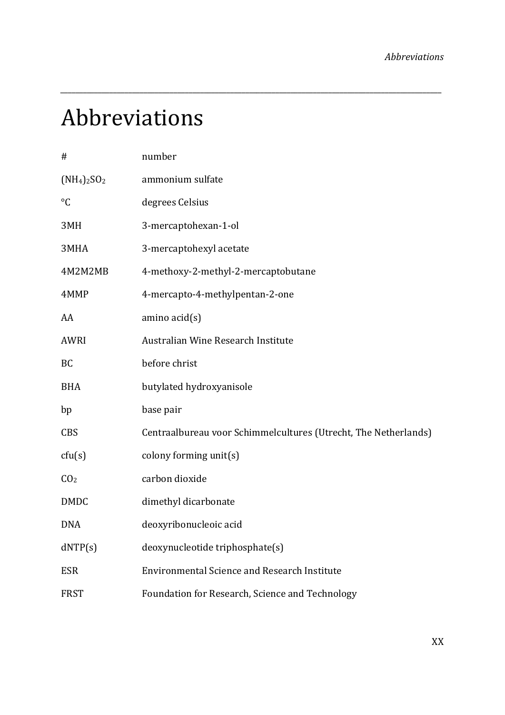# Abbreviations

| #               | number                                                          |
|-----------------|-----------------------------------------------------------------|
| $(NH_4)_2SO_2$  | ammonium sulfate                                                |
| $\rm ^{\circ}C$ | degrees Celsius                                                 |
| 3MH             | 3-mercaptohexan-1-ol                                            |
| 3MHA            | 3-mercaptohexyl acetate                                         |
| 4M2M2MB         | 4-methoxy-2-methyl-2-mercaptobutane                             |
| 4MMP            | 4-mercapto-4-methylpentan-2-one                                 |
| AA              | $amino$ $acid(s)$                                               |
| AWRI            | Australian Wine Research Institute                              |
| <b>BC</b>       | before christ                                                   |
| <b>BHA</b>      | butylated hydroxyanisole                                        |
| bp              | base pair                                                       |
| <b>CBS</b>      | Centraalbureau voor Schimmelcultures (Utrecht, The Netherlands) |
| ctu(s)          | colony forming unit(s)                                          |
| CO <sub>2</sub> | carbon dioxide                                                  |
| <b>DMDC</b>     | dimethyl dicarbonate                                            |
| <b>DNA</b>      | deoxyribonucleoic acid                                          |
| dNTP(s)         | deoxynucleotide triphosphate(s)                                 |
| <b>ESR</b>      | <b>Environmental Science and Research Institute</b>             |
| <b>FRST</b>     | Foundation for Research, Science and Technology                 |

*\_\_\_\_\_\_\_\_\_\_\_\_\_\_\_\_\_\_\_\_\_\_\_\_\_\_\_\_\_\_\_\_\_\_\_\_\_\_\_\_\_\_\_\_\_\_\_\_\_\_\_\_\_\_\_\_\_\_\_\_\_\_\_\_\_\_\_\_\_\_\_\_\_\_\_\_\_\_\_\_\_\_\_\_\_\_\_\_\_\_\_\_\_\_\_\_\_\_\_\_\_*